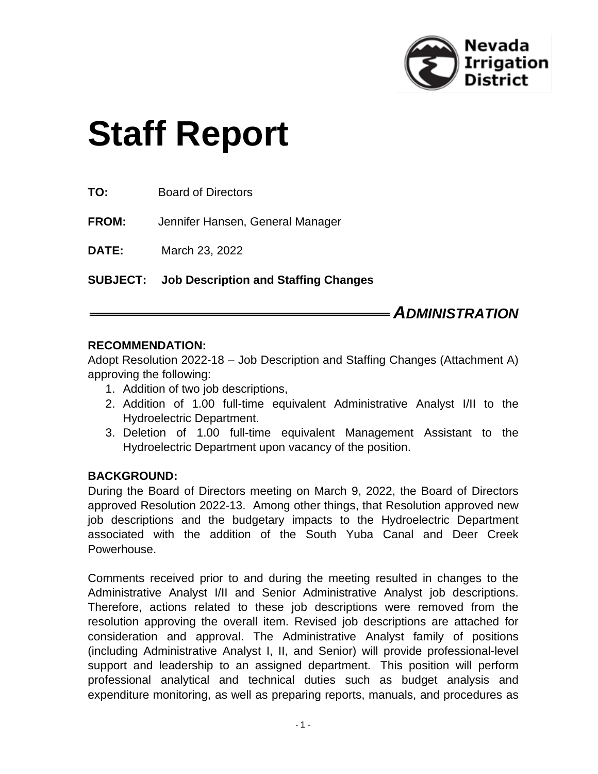

# **Staff Report**

**FROM:** Jennifer Hansen, General Manager

**DATE:** March 23, 2022

**SUBJECT: Job Description and Staffing Changes**

# *ADMINISTRATION*

#### **RECOMMENDATION:**

Adopt Resolution 2022-18 – Job Description and Staffing Changes (Attachment A) approving the following:

- 1. Addition of two job descriptions,
- 2. Addition of 1.00 full-time equivalent Administrative Analyst I/II to the Hydroelectric Department.
- 3. Deletion of 1.00 full-time equivalent Management Assistant to the Hydroelectric Department upon vacancy of the position.

# **BACKGROUND:**

During the Board of Directors meeting on March 9, 2022, the Board of Directors approved Resolution 2022-13. Among other things, that Resolution approved new job descriptions and the budgetary impacts to the Hydroelectric Department associated with the addition of the South Yuba Canal and Deer Creek Powerhouse.

Comments received prior to and during the meeting resulted in changes to the Administrative Analyst I/II and Senior Administrative Analyst job descriptions. Therefore, actions related to these job descriptions were removed from the resolution approving the overall item. Revised job descriptions are attached for consideration and approval. The Administrative Analyst family of positions (including Administrative Analyst I, II, and Senior) will provide professional-level support and leadership to an assigned department. This position will perform professional analytical and technical duties such as budget analysis and expenditure monitoring, as well as preparing reports, manuals, and procedures as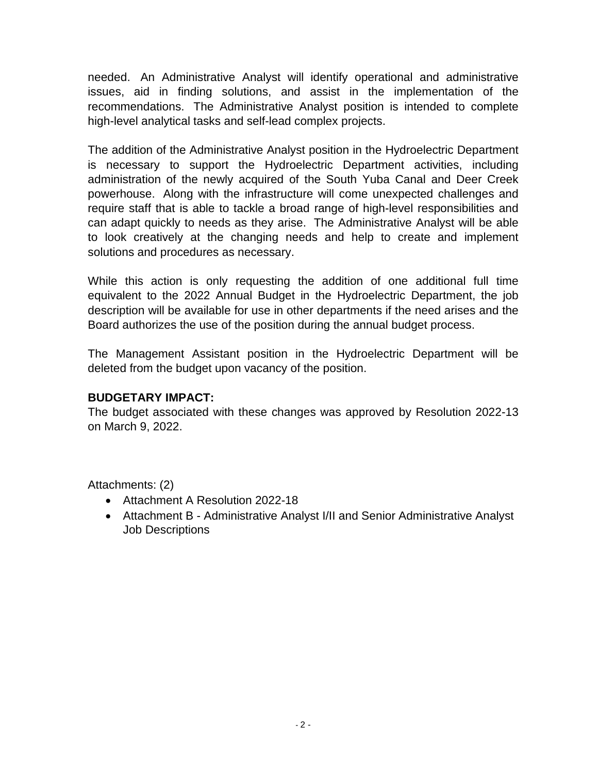needed. An Administrative Analyst will identify operational and administrative issues, aid in finding solutions, and assist in the implementation of the recommendations. The Administrative Analyst position is intended to complete high-level analytical tasks and self-lead complex projects.

The addition of the Administrative Analyst position in the Hydroelectric Department is necessary to support the Hydroelectric Department activities, including administration of the newly acquired of the South Yuba Canal and Deer Creek powerhouse. Along with the infrastructure will come unexpected challenges and require staff that is able to tackle a broad range of high-level responsibilities and can adapt quickly to needs as they arise. The Administrative Analyst will be able to look creatively at the changing needs and help to create and implement solutions and procedures as necessary.

While this action is only requesting the addition of one additional full time equivalent to the 2022 Annual Budget in the Hydroelectric Department, the job description will be available for use in other departments if the need arises and the Board authorizes the use of the position during the annual budget process.

The Management Assistant position in the Hydroelectric Department will be deleted from the budget upon vacancy of the position.

# **BUDGETARY IMPACT:**

The budget associated with these changes was approved by Resolution 2022-13 on March 9, 2022.

Attachments: (2)

- Attachment A Resolution 2022-18
- Attachment B Administrative Analyst I/II and Senior Administrative Analyst Job Descriptions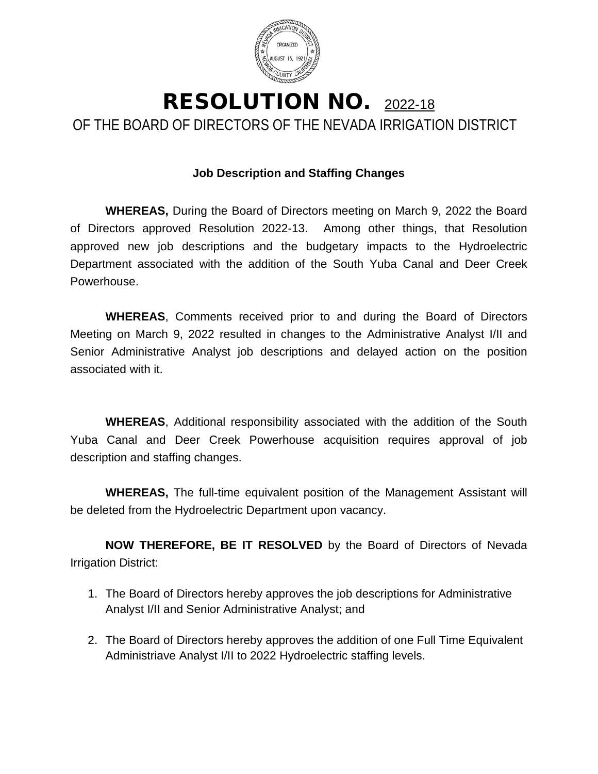

# RESOLUTION NO. 2022-18 OF THE BOARD OF DIRECTORS OF THE NEVADA IRRIGATION DISTRICT

# **Job Description and Staffing Changes**

**WHEREAS,** During the Board of Directors meeting on March 9, 2022 the Board of Directors approved Resolution 2022-13. Among other things, that Resolution approved new job descriptions and the budgetary impacts to the Hydroelectric Department associated with the addition of the South Yuba Canal and Deer Creek Powerhouse.

**WHEREAS**, Comments received prior to and during the Board of Directors Meeting on March 9, 2022 resulted in changes to the Administrative Analyst I/II and Senior Administrative Analyst job descriptions and delayed action on the position associated with it.

**WHEREAS**, Additional responsibility associated with the addition of the South Yuba Canal and Deer Creek Powerhouse acquisition requires approval of job description and staffing changes.

**WHEREAS,** The full-time equivalent position of the Management Assistant will be deleted from the Hydroelectric Department upon vacancy.

**NOW THEREFORE, BE IT RESOLVED** by the Board of Directors of Nevada Irrigation District:

- 1. The Board of Directors hereby approves the job descriptions for Administrative Analyst I/II and Senior Administrative Analyst; and
- 2. The Board of Directors hereby approves the addition of one Full Time Equivalent Administriave Analyst I/II to 2022 Hydroelectric staffing levels.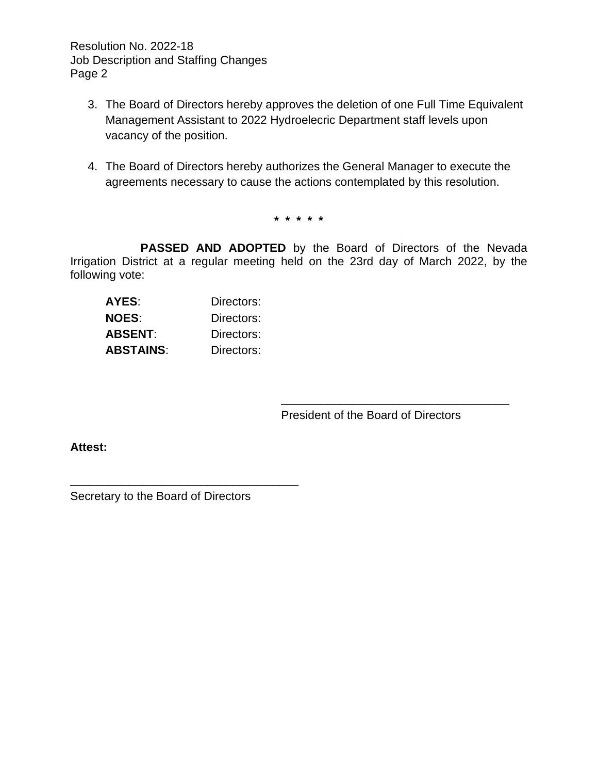Resolution No. 2022-18 Job Description and Staffing Changes Page 2

- 3. The Board of Directors hereby approves the deletion of one Full Time Equivalent Management Assistant to 2022 Hydroelecric Department staff levels upon vacancy of the position.
- 4. The Board of Directors hereby authorizes the General Manager to execute the agreements necessary to cause the actions contemplated by this resolution.

**\* \* \* \* \***

**PASSED AND ADOPTED** by the Board of Directors of the Nevada Irrigation District at a regular meeting held on the 23rd day of March 2022, by the following vote:

| AYES:            | Directors: |
|------------------|------------|
| <b>NOES:</b>     | Directors: |
| ABSENT:          | Directors: |
| <b>ABSTAINS:</b> | Directors: |

President of the Board of Directors

\_\_\_\_\_\_\_\_\_\_\_\_\_\_\_\_\_\_\_\_\_\_\_\_\_\_\_\_\_\_\_\_\_\_\_

**Attest:**

Secretary to the Board of Directors

\_\_\_\_\_\_\_\_\_\_\_\_\_\_\_\_\_\_\_\_\_\_\_\_\_\_\_\_\_\_\_\_\_\_\_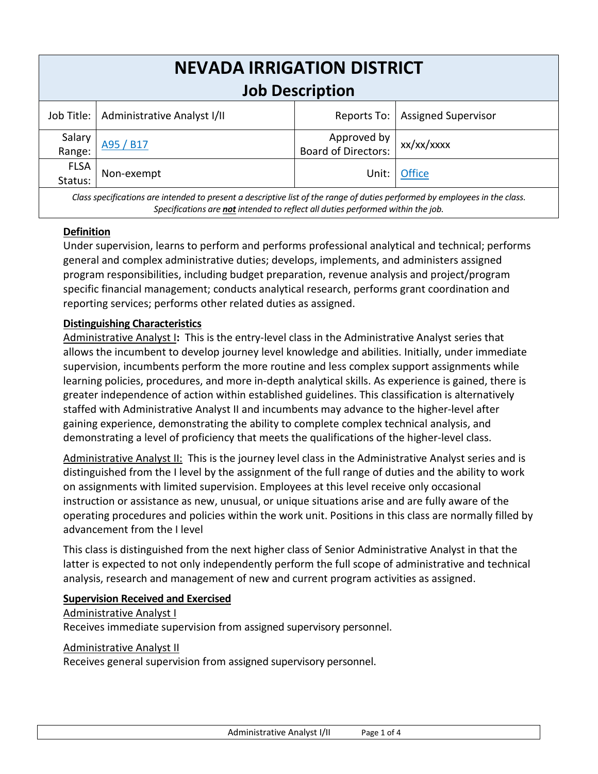| <b>NEVADA IRRIGATION DISTRICT</b> |                                          |                                    |                            |  |  |
|-----------------------------------|------------------------------------------|------------------------------------|----------------------------|--|--|
| <b>Job Description</b>            |                                          |                                    |                            |  |  |
|                                   | Job Title:   Administrative Analyst I/II | Reports To:                        | <b>Assigned Supervisor</b> |  |  |
| Salary<br>Range:                  | A95 / B17                                | Approved by<br>Board of Directors: | xx/xx/xxxx                 |  |  |
| <b>FLSA</b><br>Status:            | Non-exempt                               | Unit:                              | <b>Office</b>              |  |  |
|                                   |                                          |                                    |                            |  |  |

*Class specifications are intended to present a descriptive list of the range of duties performed by employees in the class. Specifications are not intended to reflect all duties performed within the job.*

# **Definition**

Under supervision, learns to perform and performs professional analytical and technical; performs general and complex administrative duties; develops, implements, and administers assigned program responsibilities, including budget preparation, revenue analysis and project/program specific financial management; conducts analytical research, performs grant coordination and reporting services; performs other related duties as assigned.

#### **Distinguishing Characteristics**

Administrative Analyst I**:** This is the entry-level class in the Administrative Analyst series that allows the incumbent to develop journey level knowledge and abilities. Initially, under immediate supervision, incumbents perform the more routine and less complex support assignments while learning policies, procedures, and more in-depth analytical skills. As experience is gained, there is greater independence of action within established guidelines. This classification is alternatively staffed with Administrative Analyst II and incumbents may advance to the higher-level after gaining experience, demonstrating the ability to complete complex technical analysis, and demonstrating a level of proficiency that meets the qualifications of the higher-level class.

Administrative Analyst II: This is the journey level class in the Administrative Analyst series and is distinguished from the I level by the assignment of the full range of duties and the ability to work on assignments with limited supervision. Employees at this level receive only occasional instruction or assistance as new, unusual, or unique situations arise and are fully aware of the operating procedures and policies within the work unit. Positions in this class are normally filled by advancement from the I level

This class is distinguished from the next higher class of Senior Administrative Analyst in that the latter is expected to not only independently perform the full scope of administrative and technical analysis, research and management of new and current program activities as assigned.

#### **Supervision Received and Exercised**

#### Administrative Analyst I

Receives immediate supervision from assigned supervisory personnel.

#### Administrative Analyst II

Receives general supervision from assigned supervisory personnel.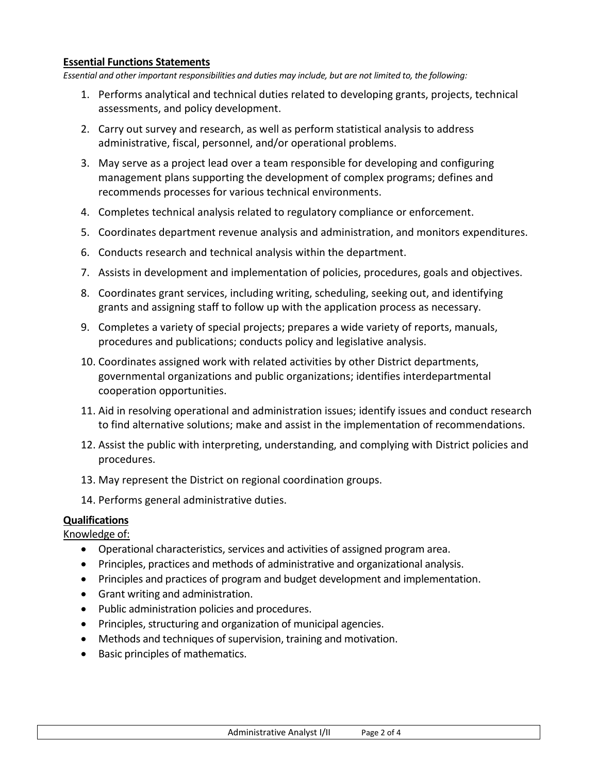#### **Essential Functions Statements**

*Essential and other important responsibilities and duties may include, but are not limited to, the following:*

- 1. Performs analytical and technical duties related to developing grants, projects, technical assessments, and policy development.
- 2. Carry out survey and research, as well as perform statistical analysis to address administrative, fiscal, personnel, and/or operational problems.
- 3. May serve as a project lead over a team responsible for developing and configuring management plans supporting the development of complex programs; defines and recommends processes for various technical environments.
- 4. Completes technical analysis related to regulatory compliance or enforcement.
- 5. Coordinates department revenue analysis and administration, and monitors expenditures.
- 6. Conducts research and technical analysis within the department.
- 7. Assists in development and implementation of policies, procedures, goals and objectives.
- 8. Coordinates grant services, including writing, scheduling, seeking out, and identifying grants and assigning staff to follow up with the application process as necessary.
- 9. Completes a variety of special projects; prepares a wide variety of reports, manuals, procedures and publications; conducts policy and legislative analysis.
- 10. Coordinates assigned work with related activities by other District departments, governmental organizations and public organizations; identifies interdepartmental cooperation opportunities.
- 11. Aid in resolving operational and administration issues; identify issues and conduct research to find alternative solutions; make and assist in the implementation of recommendations.
- 12. Assist the public with interpreting, understanding, and complying with District policies and procedures.
- 13. May represent the District on regional coordination groups.
- 14. Performs general administrative duties.

#### **Qualifications**

#### Knowledge of:

- Operational characteristics, services and activities of assigned program area.
- Principles, practices and methods of administrative and organizational analysis.
- Principles and practices of program and budget development and implementation.
- Grant writing and administration.
- Public administration policies and procedures.
- Principles, structuring and organization of municipal agencies.
- Methods and techniques of supervision, training and motivation.
- Basic principles of mathematics.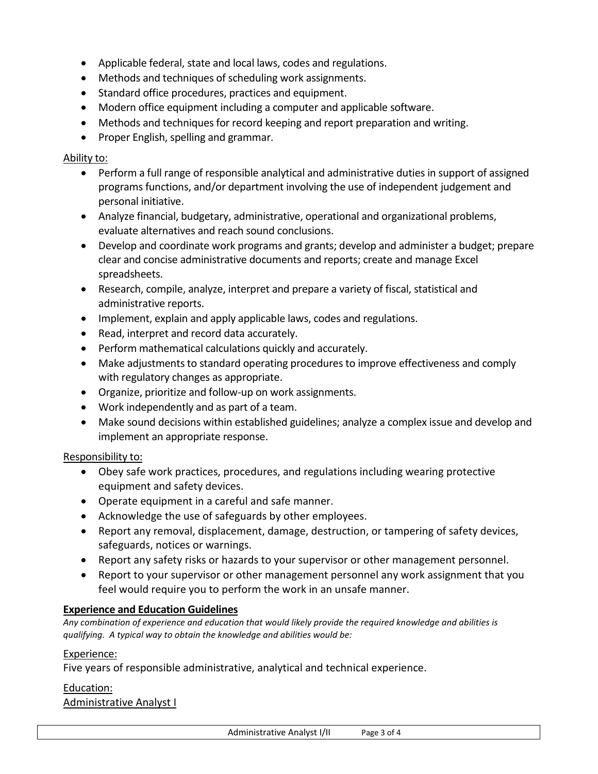- Applicable federal, state and local laws, codes and regulations.
- Methods and techniques of scheduling work assignments.
- Standard office procedures, practices and equipment.
- Modern office equipment including a computer and applicable software.
- Methods and techniques for record keeping and report preparation and writing.
- Proper English, spelling and grammar.

#### Ability to:

- Perform a full range of responsible analytical and administrative duties in support of assigned programs functions, and/or department involving the use of independent judgement and personal initiative.
- Analyze financial, budgetary, administrative, operational and organizational problems, evaluate alternatives and reach sound conclusions.
- Develop and coordinate work programs and grants; develop and administer a budget; prepare clear and concise administrative documents and reports; create and manage Excel spreadsheets.
- Research, compile, analyze, interpret and prepare a variety of fiscal, statistical and administrative reports.
- Implement, explain and apply applicable laws, codes and regulations.
- Read, interpret and record data accurately.
- Perform mathematical calculations quickly and accurately.
- Make adjustments to standard operating procedures to improve effectiveness and comply with regulatory changes as appropriate.
- Organize, prioritize and follow-up on work assignments.
- Work independently and as part of a team.
- Make sound decisions within established guidelines; analyze a complex issue and develop and implement an appropriate response.

#### Responsibility to:

- Obey safe work practices, procedures, and regulations including wearing protective equipment and safety devices.
- Operate equipment in a careful and safe manner.
- Acknowledge the use of safeguards by other employees.
- Report any removal, displacement, damage, destruction, or tampering of safety devices, safeguards, notices or warnings.
- Report any safety risks or hazards to your supervisor or other management personnel.
- Report to your supervisor or other management personnel any work assignment that you feel would require you to perform the work in an unsafe manner.

# **Experience and Education Guidelines**

*Any combination of experience and education that would likely provide the required knowledge and abilities is qualifying. A typical way to obtain the knowledge and abilities would be:*

#### Experience:

Five years of responsible administrative, analytical and technical experience.

#### Education:

Administrative Analyst I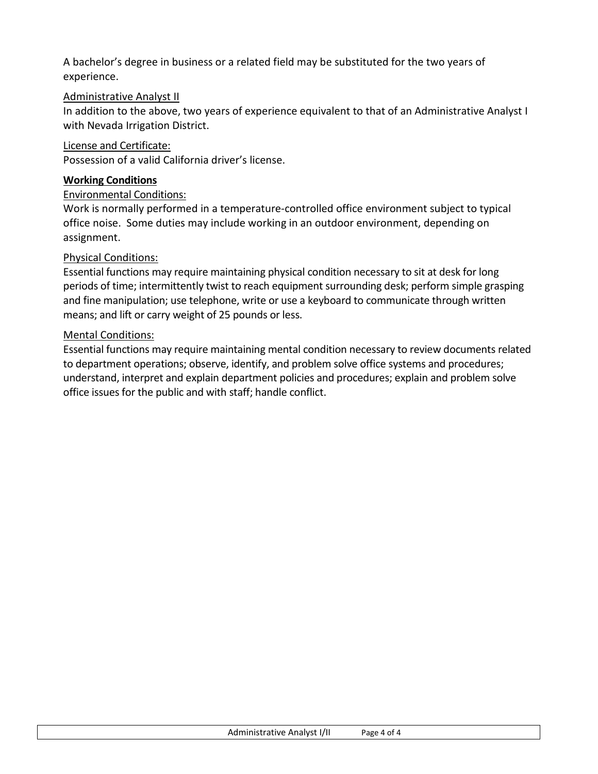A bachelor's degree in business or a related field may be substituted for the two years of experience.

#### Administrative Analyst II

In addition to the above, two years of experience equivalent to that of an Administrative Analyst I with Nevada Irrigation District.

#### License and Certificate:

Possession of a valid California driver's license.

#### **Working Conditions**

#### Environmental Conditions:

Work is normally performed in a temperature-controlled office environment subject to typical office noise. Some duties may include working in an outdoor environment, depending on assignment.

#### Physical Conditions:

Essential functions may require maintaining physical condition necessary to sit at desk for long periods of time; intermittently twist to reach equipment surrounding desk; perform simple grasping and fine manipulation; use telephone, write or use a keyboard to communicate through written means; and lift or carry weight of 25 pounds or less.

#### Mental Conditions:

Essential functions may require maintaining mental condition necessary to review documents related to department operations; observe, identify, and problem solve office systems and procedures; understand, interpret and explain department policies and procedures; explain and problem solve office issues for the public and with staff; handle conflict.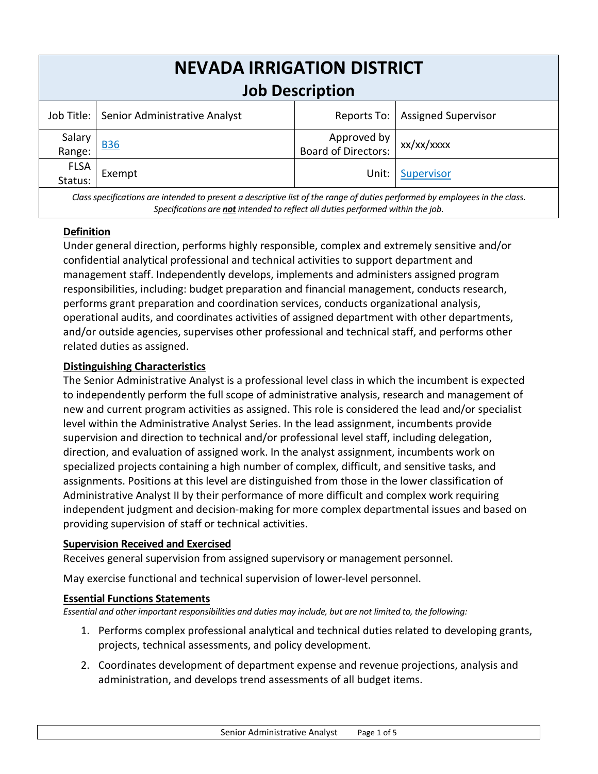| <b>NEVADA IRRIGATION DISTRICT</b> |                                                               |                                    |                            |  |  |
|-----------------------------------|---------------------------------------------------------------|------------------------------------|----------------------------|--|--|
| <b>Job Description</b>            |                                                               |                                    |                            |  |  |
|                                   | Job Title:   Senior Administrative Analyst                    | Reports To:                        | <b>Assigned Supervisor</b> |  |  |
| Salary<br>Range:                  | <b>B36</b>                                                    | Approved by<br>Board of Directors: | xx/xx/xxxx                 |  |  |
| <b>FLSA</b><br>Status:            | Exempt                                                        | Unit:                              | Supervisor                 |  |  |
|                                   | 그 사람들은 그 사람들은 그 사람들을 지원하고 있는 사람들을 사용하는 것이 없다. 이 사람들은 어떻게 되었다. |                                    |                            |  |  |

*Class specifications are intended to present a descriptive list of the range of duties performed by employees in the class. Specifications are not intended to reflect all duties performed within the job.*

# **Definition**

Under general direction, performs highly responsible, complex and extremely sensitive and/or confidential analytical professional and technical activities to support department and management staff. Independently develops, implements and administers assigned program responsibilities, including: budget preparation and financial management, conducts research, performs grant preparation and coordination services, conducts organizational analysis, operational audits, and coordinates activities of assigned department with other departments, and/or outside agencies, supervises other professional and technical staff, and performs other related duties as assigned.

#### **Distinguishing Characteristics**

The Senior Administrative Analyst is a professional level class in which the incumbent is expected to independently perform the full scope of administrative analysis, research and management of new and current program activities as assigned. This role is considered the lead and/or specialist level within the Administrative Analyst Series. In the lead assignment, incumbents provide supervision and direction to technical and/or professional level staff, including delegation, direction, and evaluation of assigned work. In the analyst assignment, incumbents work on specialized projects containing a high number of complex, difficult, and sensitive tasks, and assignments. Positions at this level are distinguished from those in the lower classification of Administrative Analyst II by their performance of more difficult and complex work requiring independent judgment and decision-making for more complex departmental issues and based on providing supervision of staff or technical activities.

#### **Supervision Received and Exercised**

Receives general supervision from assigned supervisory or management personnel.

May exercise functional and technical supervision of lower-level personnel.

#### **Essential Functions Statements**

*Essential and other important responsibilities and duties may include, but are not limited to, the following:*

- 1. Performs complex professional analytical and technical duties related to developing grants, projects, technical assessments, and policy development.
- 2. Coordinates development of department expense and revenue projections, analysis and administration, and develops trend assessments of all budget items.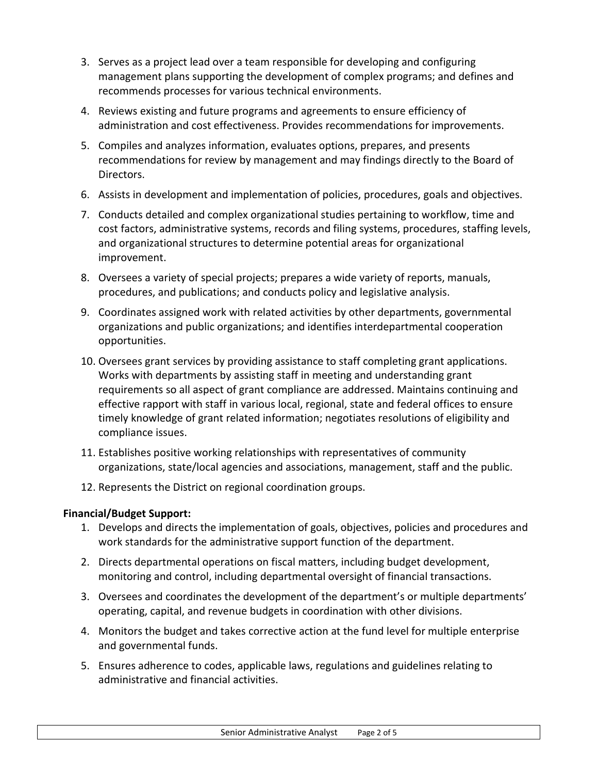- 3. Serves as a project lead over a team responsible for developing and configuring management plans supporting the development of complex programs; and defines and recommends processes for various technical environments.
- 4. Reviews existing and future programs and agreements to ensure efficiency of administration and cost effectiveness. Provides recommendations for improvements.
- 5. Compiles and analyzes information, evaluates options, prepares, and presents recommendations for review by management and may findings directly to the Board of Directors.
- 6. Assists in development and implementation of policies, procedures, goals and objectives.
- 7. Conducts detailed and complex organizational studies pertaining to workflow, time and cost factors, administrative systems, records and filing systems, procedures, staffing levels, and organizational structures to determine potential areas for organizational improvement.
- 8. Oversees a variety of special projects; prepares a wide variety of reports, manuals, procedures, and publications; and conducts policy and legislative analysis.
- 9. Coordinates assigned work with related activities by other departments, governmental organizations and public organizations; and identifies interdepartmental cooperation opportunities.
- 10. Oversees grant services by providing assistance to staff completing grant applications. Works with departments by assisting staff in meeting and understanding grant requirements so all aspect of grant compliance are addressed. Maintains continuing and effective rapport with staff in various local, regional, state and federal offices to ensure timely knowledge of grant related information; negotiates resolutions of eligibility and compliance issues.
- 11. Establishes positive working relationships with representatives of community organizations, state/local agencies and associations, management, staff and the public.
- 12. Represents the District on regional coordination groups.

# **Financial/Budget Support:**

- 1. Develops and directs the implementation of goals, objectives, policies and procedures and work standards for the administrative support function of the department.
- 2. Directs departmental operations on fiscal matters, including budget development, monitoring and control, including departmental oversight of financial transactions.
- 3. Oversees and coordinates the development of the department's or multiple departments' operating, capital, and revenue budgets in coordination with other divisions.
- 4. Monitors the budget and takes corrective action at the fund level for multiple enterprise and governmental funds.
- 5. Ensures adherence to codes, applicable laws, regulations and guidelines relating to administrative and financial activities.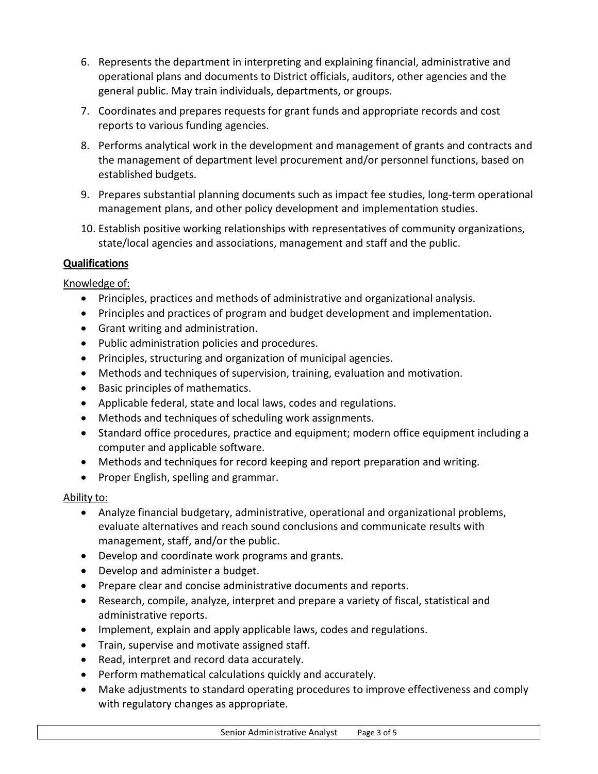- 6. Represents the department in interpreting and explaining financial, administrative and operational plans and documents to District officials, auditors, other agencies and the general public. May train individuals, departments, or groups.
- 7. Coordinates and prepares requests for grant funds and appropriate records and cost reports to various funding agencies.
- 8. Performs analytical work in the development and management of grants and contracts and the management of department level procurement and/or personnel functions, based on established budgets.
- 9. Prepares substantial planning documents such as impact fee studies, long-term operational management plans, and other policy development and implementation studies.
- 10. Establish positive working relationships with representatives of community organizations, state/local agencies and associations, management and staff and the public.

# **Qualifications**

# Knowledge of:

- Principles, practices and methods of administrative and organizational analysis.
- Principles and practices of program and budget development and implementation.
- Grant writing and administration.
- Public administration policies and procedures.
- Principles, structuring and organization of municipal agencies.
- Methods and techniques of supervision, training, evaluation and motivation.
- Basic principles of mathematics.
- Applicable federal, state and local laws, codes and regulations.
- Methods and techniques of scheduling work assignments.
- Standard office procedures, practice and equipment; modern office equipment including a computer and applicable software.
- Methods and techniques for record keeping and report preparation and writing.
- Proper English, spelling and grammar.

# Ability to:

- Analyze financial budgetary, administrative, operational and organizational problems, evaluate alternatives and reach sound conclusions and communicate results with management, staff, and/or the public.
- Develop and coordinate work programs and grants.
- Develop and administer a budget.
- Prepare clear and concise administrative documents and reports.
- Research, compile, analyze, interpret and prepare a variety of fiscal, statistical and administrative reports.
- Implement, explain and apply applicable laws, codes and regulations.
- Train, supervise and motivate assigned staff.
- Read, interpret and record data accurately.
- Perform mathematical calculations quickly and accurately.
- Make adjustments to standard operating procedures to improve effectiveness and comply with regulatory changes as appropriate.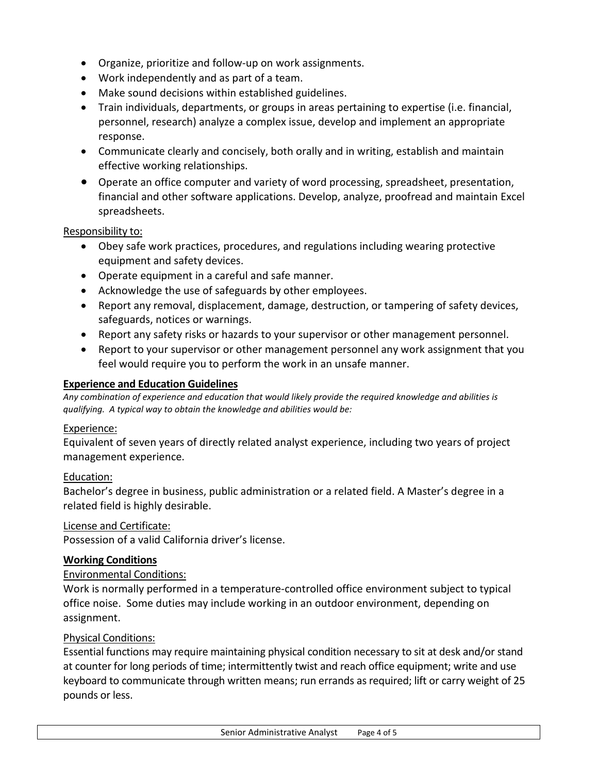- Organize, prioritize and follow-up on work assignments.
- Work independently and as part of a team.
- Make sound decisions within established guidelines.
- Train individuals, departments, or groups in areas pertaining to expertise (i.e. financial, personnel, research) analyze a complex issue, develop and implement an appropriate response.
- Communicate clearly and concisely, both orally and in writing, establish and maintain effective working relationships.
- Operate an office computer and variety of word processing, spreadsheet, presentation, financial and other software applications. Develop, analyze, proofread and maintain Excel spreadsheets.

#### Responsibility to:

- Obey safe work practices, procedures, and regulations including wearing protective equipment and safety devices.
- Operate equipment in a careful and safe manner.
- Acknowledge the use of safeguards by other employees.
- Report any removal, displacement, damage, destruction, or tampering of safety devices, safeguards, notices or warnings.
- Report any safety risks or hazards to your supervisor or other management personnel.
- Report to your supervisor or other management personnel any work assignment that you feel would require you to perform the work in an unsafe manner.

#### **Experience and Education Guidelines**

*Any combination of experience and education that would likely provide the required knowledge and abilities is qualifying. A typical way to obtain the knowledge and abilities would be:*

#### Experience:

Equivalent of seven years of directly related analyst experience, including two years of project management experience.

#### Education:

Bachelor's degree in business, public administration or a related field. A Master's degree in a related field is highly desirable.

#### License and Certificate:

Possession of a valid California driver's license.

#### **Working Conditions**

#### Environmental Conditions:

Work is normally performed in a temperature-controlled office environment subject to typical office noise. Some duties may include working in an outdoor environment, depending on assignment.

#### Physical Conditions:

Essential functions may require maintaining physical condition necessary to sit at desk and/or stand at counter for long periods of time; intermittently twist and reach office equipment; write and use keyboard to communicate through written means; run errands as required; lift or carry weight of 25 pounds or less.